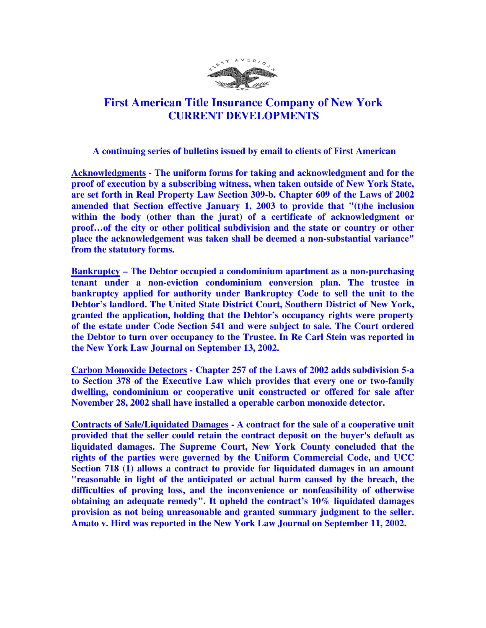

## **First American Title Insurance Company of New York CURRENT DEVELOPMENTS**

 **A continuing series of bulletins issued by email to clients of First American** 

**Acknowledgments - The uniform forms for taking and acknowledgment and for the proof of execution by a subscribing witness, when taken outside of New York State, are set forth in Real Property Law Section 309-b. Chapter 609 of the Laws of 2002 amended that Section effective January 1, 2003 to provide that "(t)he inclusion within the body (other than the jurat) of a certificate of acknowledgment or proof…of the city or other political subdivision and the state or country or other place the acknowledgement was taken shall be deemed a non-substantial variance" from the statutory forms.** 

**Bankruptcy – The Debtor occupied a condominium apartment as a non-purchasing tenant under a non-eviction condominium conversion plan. The trustee in bankruptcy applied for authority under Bankruptcy Code to sell the unit to the Debtor's landlord. The United State District Court, Southern District of New York, granted the application, holding that the Debtor's occupancy rights were property of the estate under Code Section 541 and were subject to sale. The Court ordered the Debtor to turn over occupancy to the Trustee. In Re Carl Stein was reported in the New York Law Journal on September 13, 2002.** 

**Carbon Monoxide Detectors - Chapter 257 of the Laws of 2002 adds subdivision 5-a to Section 378 of the Executive Law which provides that every one or two-family dwelling, condominium or cooperative unit constructed or offered for sale after November 28, 2002 shall have installed a operable carbon monoxide detector.** 

**Contracts of Sale/Liquidated Damages - A contract for the sale of a cooperative unit provided that the seller could retain the contract deposit on the buyer's default as liquidated damages. The Supreme Court, New York County concluded that the rights of the parties were governed by the Uniform Commercial Code, and UCC Section 718 (1) allows a contract to provide for liquidated damages in an amount "reasonable in light of the anticipated or actual harm caused by the breach, the difficulties of proving loss, and the inconvenience or nonfeasibility of otherwise obtaining an adequate remedy". It upheld the contract's 10% liquidated damages provision as not being unreasonable and granted summary judgment to the seller. Amato v. Hird was reported in the New York Law Journal on September 11, 2002.**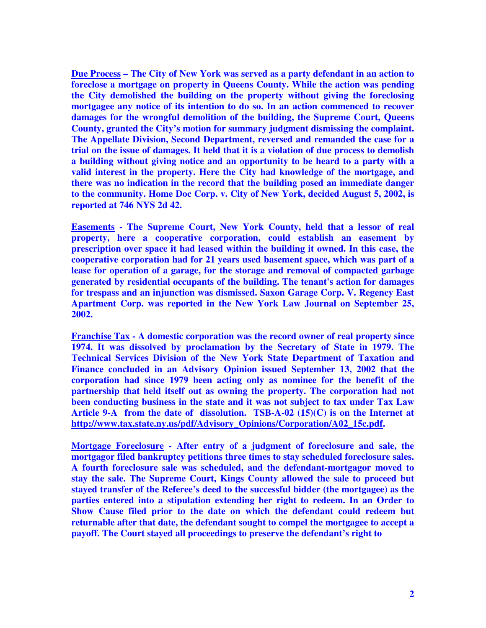**Due Process – The City of New York was served as a party defendant in an action to foreclose a mortgage on property in Queens County. While the action was pending the City demolished the building on the property without giving the foreclosing mortgagee any notice of its intention to do so. In an action commenced to recover damages for the wrongful demolition of the building, the Supreme Court, Queens County, granted the City's motion for summary judgment dismissing the complaint. The Appellate Division, Second Department, reversed and remanded the case for a trial on the issue of damages. It held that it is a violation of due process to demolish a building without giving notice and an opportunity to be heard to a party with a valid interest in the property. Here the City had knowledge of the mortgage, and there was no indication in the record that the building posed an immediate danger to the community. Home Doc Corp. v. City of New York, decided August 5, 2002, is reported at 746 NYS 2d 42.** 

**Easements - The Supreme Court, New York County, held that a lessor of real property, here a cooperative corporation, could establish an easement by prescription over space it had leased within the building it owned. In this case, the cooperative corporation had for 21 years used basement space, which was part of a lease for operation of a garage, for the storage and removal of compacted garbage generated by residential occupants of the building. The tenant's action for damages for trespass and an injunction was dismissed. Saxon Garage Corp. V. Regency East Apartment Corp. was reported in the New York Law Journal on September 25, 2002.** 

**Franchise Tax - A domestic corporation was the record owner of real property since 1974. It was dissolved by proclamation by the Secretary of State in 1979. The Technical Services Division of the New York State Department of Taxation and Finance concluded in an Advisory Opinion issued September 13, 2002 that the corporation had since 1979 been acting only as nominee for the benefit of the partnership that held itself out as owning the property. The corporation had not been conducting business in the state and it was not subject to tax under Tax Law Article 9-A from the date of dissolution. TSB-A-02 (15)(C) is on the Internet at http://www.tax.state.ny.us/pdf/Advisory\_Opinions/Corporation/A02\_15c.pdf.** 

**Mortgage Foreclosure - After entry of a judgment of foreclosure and sale, the mortgagor filed bankruptcy petitions three times to stay scheduled foreclosure sales. A fourth foreclosure sale was scheduled, and the defendant-mortgagor moved to stay the sale. The Supreme Court, Kings County allowed the sale to proceed but stayed transfer of the Referee's deed to the successful bidder (the mortgagee) as the parties entered into a stipulation extending her right to redeem. In an Order to Show Cause filed prior to the date on which the defendant could redeem but returnable after that date, the defendant sought to compel the mortgagee to accept a payoff. The Court stayed all proceedings to preserve the defendant's right to**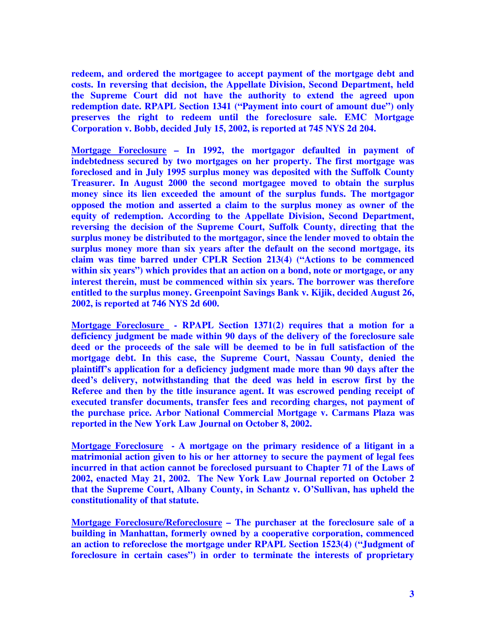**redeem, and ordered the mortgagee to accept payment of the mortgage debt and costs. In reversing that decision, the Appellate Division, Second Department, held the Supreme Court did not have the authority to extend the agreed upon redemption date. RPAPL Section 1341 ("Payment into court of amount due") only preserves the right to redeem until the foreclosure sale. EMC Mortgage Corporation v. Bobb, decided July 15, 2002, is reported at 745 NYS 2d 204.** 

**Mortgage Foreclosure – In 1992, the mortgagor defaulted in payment of indebtedness secured by two mortgages on her property. The first mortgage was foreclosed and in July 1995 surplus money was deposited with the Suffolk County Treasurer. In August 2000 the second mortgagee moved to obtain the surplus money since its lien exceeded the amount of the surplus funds. The mortgagor opposed the motion and asserted a claim to the surplus money as owner of the equity of redemption. According to the Appellate Division, Second Department, reversing the decision of the Supreme Court, Suffolk County, directing that the surplus money be distributed to the mortgagor, since the lender moved to obtain the surplus money more than six years after the default on the second mortgage, its claim was time barred under CPLR Section 213(4) ("Actions to be commenced**  within six years") which provides that an action on a bond, note or mortgage, or any **interest therein, must be commenced within six years. The borrower was therefore entitled to the surplus money. Greenpoint Savings Bank v. Kijik, decided August 26, 2002, is reported at 746 NYS 2d 600.** 

**Mortgage Foreclosure - RPAPL Section 1371(2) requires that a motion for a deficiency judgment be made within 90 days of the delivery of the foreclosure sale deed or the proceeds of the sale will be deemed to be in full satisfaction of the mortgage debt. In this case, the Supreme Court, Nassau County, denied the plaintiff's application for a deficiency judgment made more than 90 days after the deed's delivery, notwithstanding that the deed was held in escrow first by the Referee and then by the title insurance agent. It was escrowed pending receipt of executed transfer documents, transfer fees and recording charges, not payment of the purchase price. Arbor National Commercial Mortgage v. Carmans Plaza was reported in the New York Law Journal on October 8, 2002.** 

**Mortgage Foreclosure - A mortgage on the primary residence of a litigant in a matrimonial action given to his or her attorney to secure the payment of legal fees incurred in that action cannot be foreclosed pursuant to Chapter 71 of the Laws of 2002, enacted May 21, 2002. The New York Law Journal reported on October 2 that the Supreme Court, Albany County, in Schantz v. O'Sullivan, has upheld the constitutionality of that statute.** 

**Mortgage Foreclosure/Reforeclosure – The purchaser at the foreclosure sale of a building in Manhattan, formerly owned by a cooperative corporation, commenced an action to reforeclose the mortgage under RPAPL Section 1523(4) ("Judgment of foreclosure in certain cases") in order to terminate the interests of proprietary**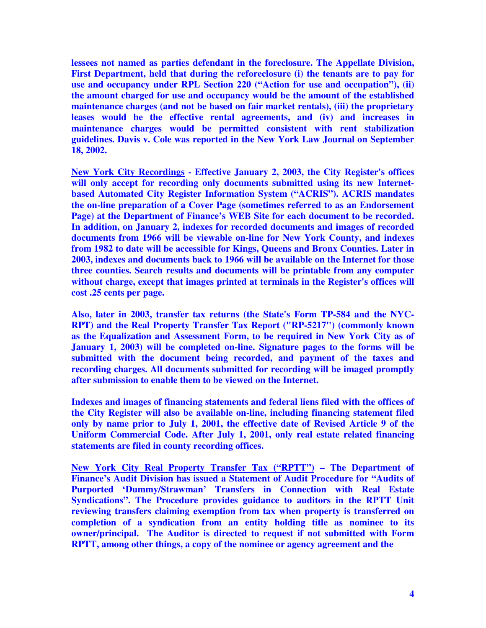**lessees not named as parties defendant in the foreclosure. The Appellate Division, First Department, held that during the reforeclosure (i) the tenants are to pay for use and occupancy under RPL Section 220 ("Action for use and occupation"), (ii) the amount charged for use and occupancy would be the amount of the established maintenance charges (and not be based on fair market rentals), (iii) the proprietary leases would be the effective rental agreements, and (iv) and increases in maintenance charges would be permitted consistent with rent stabilization guidelines. Davis v. Cole was reported in the New York Law Journal on September 18, 2002.** 

**New York City Recordings - Effective January 2, 2003, the City Register's offices will only accept for recording only documents submitted using its new Internetbased Automated City Register Information System ("ACRIS"). ACRIS mandates the on-line preparation of a Cover Page (sometimes referred to as an Endorsement Page) at the Department of Finance's WEB Site for each document to be recorded. In addition, on January 2, indexes for recorded documents and images of recorded documents from 1966 will be viewable on-line for New York County, and indexes from 1982 to date will be accessible for Kings, Queens and Bronx Counties. Later in 2003, indexes and documents back to 1966 will be available on the Internet for those three counties. Search results and documents will be printable from any computer without charge, except that images printed at terminals in the Register's offices will cost .25 cents per page.** 

**Also, later in 2003, transfer tax returns (the State's Form TP-584 and the NYC-RPT) and the Real Property Transfer Tax Report ("RP-5217") (commonly known as the Equalization and Assessment Form, to be required in New York City as of January 1, 2003) will be completed on-line. Signature pages to the forms will be submitted with the document being recorded, and payment of the taxes and recording charges. All documents submitted for recording will be imaged promptly after submission to enable them to be viewed on the Internet.** 

**Indexes and images of financing statements and federal liens filed with the offices of the City Register will also be available on-line, including financing statement filed only by name prior to July 1, 2001, the effective date of Revised Article 9 of the Uniform Commercial Code. After July 1, 2001, only real estate related financing statements are filed in county recording offices.** 

**New York City Real Property Transfer Tax ("RPTT") – The Department of Finance's Audit Division has issued a Statement of Audit Procedure for "Audits of Purported 'Dummy/Strawman' Transfers in Connection with Real Estate Syndications". The Procedure provides guidance to auditors in the RPTT Unit reviewing transfers claiming exemption from tax when property is transferred on completion of a syndication from an entity holding title as nominee to its owner/principal. The Auditor is directed to request if not submitted with Form RPTT, among other things, a copy of the nominee or agency agreement and the**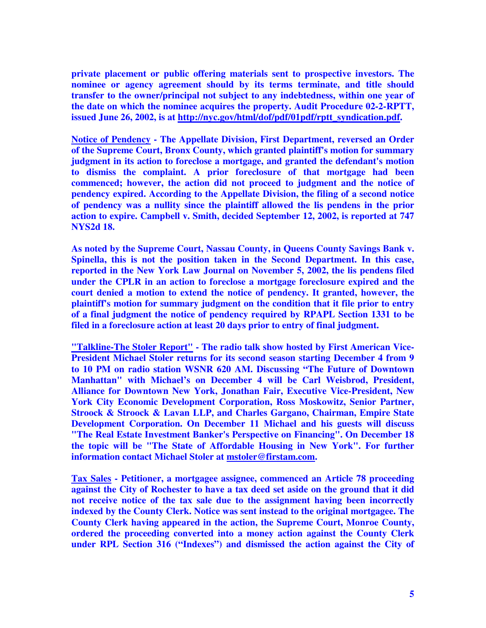**private placement or public offering materials sent to prospective investors. The nominee or agency agreement should by its terms terminate, and title should transfer to the owner/principal not subject to any indebtedness, within one year of the date on which the nominee acquires the property. Audit Procedure 02-2-RPTT, issued June 26, 2002, is at http://nyc.gov/html/dof/pdf/01pdf/rptt\_syndication.pdf.** 

**Notice of Pendency - The Appellate Division, First Department, reversed an Order of the Supreme Court, Bronx County, which granted plaintiff's motion for summary judgment in its action to foreclose a mortgage, and granted the defendant's motion to dismiss the complaint. A prior foreclosure of that mortgage had been commenced; however, the action did not proceed to judgment and the notice of pendency expired. According to the Appellate Division, the filing of a second notice of pendency was a nullity since the plaintiff allowed the lis pendens in the prior action to expire. Campbell v. Smith, decided September 12, 2002, is reported at 747 NYS2d 18.** 

**As noted by the Supreme Court, Nassau County, in Queens County Savings Bank v. Spinella, this is not the position taken in the Second Department. In this case, reported in the New York Law Journal on November 5, 2002, the lis pendens filed under the CPLR in an action to foreclose a mortgage foreclosure expired and the court denied a motion to extend the notice of pendency. It granted, however, the plaintiff's motion for summary judgment on the condition that it file prior to entry of a final judgment the notice of pendency required by RPAPL Section 1331 to be filed in a foreclosure action at least 20 days prior to entry of final judgment.** 

**"Talkline-The Stoler Report" - The radio talk show hosted by First American Vice-President Michael Stoler returns for its second season starting December 4 from 9 to 10 PM on radio station WSNR 620 AM. Discussing "The Future of Downtown Manhattan" with Michael's on December 4 will be Carl Weisbrod, President, Alliance for Downtown New York, Jonathan Fair, Executive Vice-President, New York City Economic Development Corporation, Ross Moskowitz, Senior Partner, Stroock & Stroock & Lavan LLP, and Charles Gargano, Chairman, Empire State Development Corporation. On December 11 Michael and his guests will discuss "The Real Estate Investment Banker's Perspective on Financing". On December 18 the topic will be "The State of Affordable Housing in New York". For further information contact Michael Stoler at mstoler@firstam.com.** 

**Tax Sales - Petitioner, a mortgagee assignee, commenced an Article 78 proceeding against the City of Rochester to have a tax deed set aside on the ground that it did not receive notice of the tax sale due to the assignment having been incorrectly indexed by the County Clerk. Notice was sent instead to the original mortgagee. The County Clerk having appeared in the action, the Supreme Court, Monroe County, ordered the proceeding converted into a money action against the County Clerk under RPL Section 316 ("Indexes") and dismissed the action against the City of**